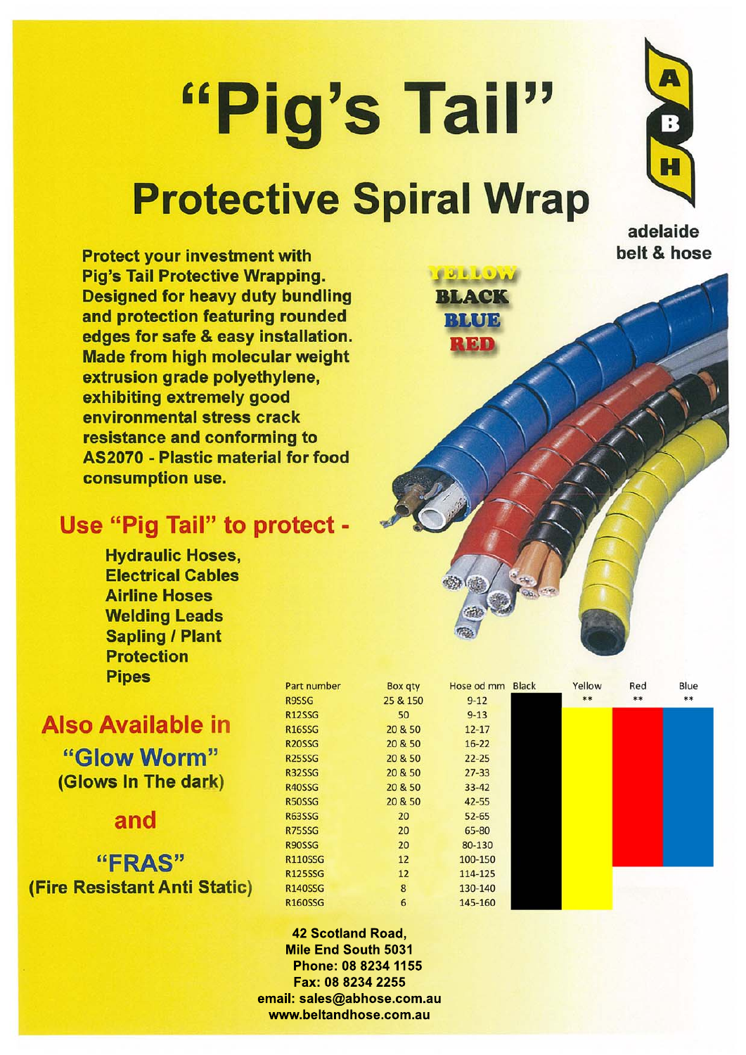# "Pig's Tail" **Protective Spiral Wrap**

**Protect your investment with** Pig's Tail Protective Wrapping. **Designed for heavy duty bundling** and protection featuring rounded edges for safe & easy installation. **Made from high molecular weight** extrusion grade polyethylene. exhibiting extremely good environmental stress crack resistance and conforming to **AS2070 - Plastic material for food** consumption use.

# Use "Pig Tail" to protect -

**Hydraulic Hoses. Electrical Cables Airline Hoses Welding Leads Sapling / Plant Protection Pipes** 

**Also Available in** "Glow Worm" (Glows In The dark)

and

"FRAS" (Fire Resistant Anti Static)

| B              |
|----------------|
| 25             |
|                |
| 2              |
| $\overline{2}$ |
| 2              |
| $\overline{2}$ |
| $\overline{2}$ |
| $\overline{2}$ |
|                |
|                |
|                |
|                |
|                |
|                |
|                |
|                |



 $20$ 

 $12$ 

 $12$ 

 $\mathbf{R}$ 

 $\mathbf{f}$ 



### **42 Scotland Road. Mile End South 5031** Phone: 08 8234 1155 Fax: 08 8234 2255 email: sales@abhose.com.au www.beltandhose.com.au